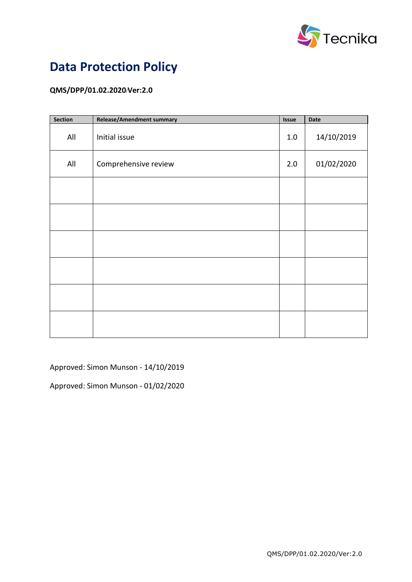

# **Data Protection Policy**

### **QMS/DPP/01.02.2020/Ver:2.0**

| Section | Release/Amendment summary | <b>Issue</b> | Date       |
|---------|---------------------------|--------------|------------|
| All     | Initial issue             | 1.0          | 14/10/2019 |
| All     | Comprehensive review      | 2.0          | 01/02/2020 |
|         |                           |              |            |
|         |                           |              |            |
|         |                           |              |            |
|         |                           |              |            |
|         |                           |              |            |
|         |                           |              |            |

Approved: Simon Munson - 14/10/2019

Approved: Simon Munson - 01/02/2020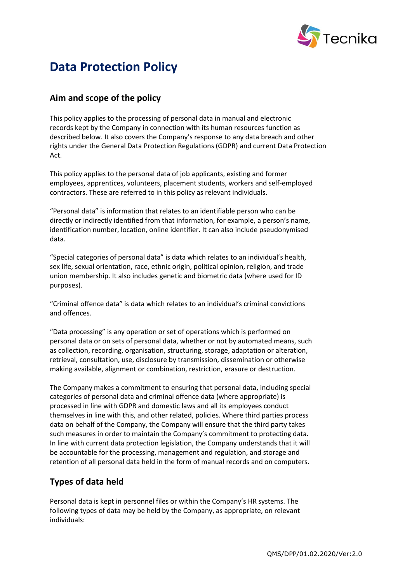

## **Data Protection Policy**

## **Aim and scope of the policy**

This policy applies to the processing of personal data in manual and electronic records kept by the Company in connection with its human resources function as described below. It also covers the Company's response to any data breach and other rights under the General Data Protection Regulations (GDPR) and current Data Protection Act.

This policy applies to the personal data of job applicants, existing and former employees, apprentices, volunteers, placement students, workers and self-employed contractors. These are referred to in this policy as relevant individuals.

"Personal data" is information that relates to an identifiable person who can be directly or indirectly identified from that information, for example, a person's name, identification number, location, online identifier. It can also include pseudonymised data.

"Special categories of personal data" is data which relates to an individual's health, sex life, sexual orientation, race, ethnic origin, political opinion, religion, and trade union membership. It also includes genetic and biometric data (where used for ID purposes).

"Criminal offence data" is data which relates to an individual's criminal convictions and offences.

"Data processing" is any operation or set of operations which is performed on personal data or on sets of personal data, whether or not by automated means, such as collection, recording, organisation, structuring, storage, adaptation or alteration, retrieval, consultation, use, disclosure by transmission, dissemination or otherwise making available, alignment or combination, restriction, erasure or destruction.

The Company makes a commitment to ensuring that personal data, including special categories of personal data and criminal offence data (where appropriate) is processed in line with GDPR and domestic laws and all its employees conduct themselves in line with this, and other related, policies. Where third parties process data on behalf of the Company, the Company will ensure that the third party takes such measures in order to maintain the Company's commitment to protecting data. In line with current data protection legislation, the Company understands that it will be accountable for the processing, management and regulation, and storage and retention of all personal data held in the form of manual records and on computers.

## **Types of data held**

Personal data is kept in personnel files or within the Company's HR systems. The following types of data may be held by the Company, as appropriate, on relevant individuals: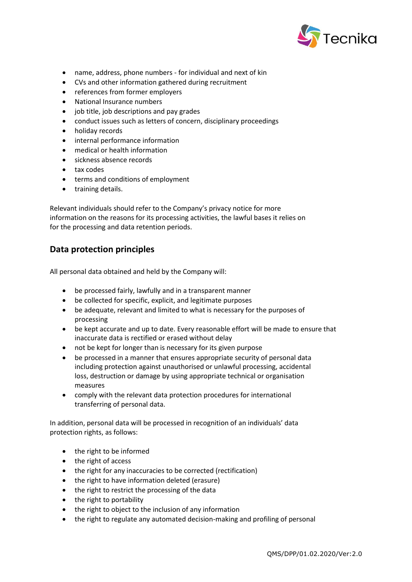

- name, address, phone numbers for individual and next of kin
- CVs and other information gathered during recruitment
- references from former employers
- National Insurance numbers
- job title, job descriptions and pay grades
- conduct issues such as letters of concern, disciplinary proceedings
- holiday records
- internal performance information
- medical or health information
- sickness absence records
- tax codes
- terms and conditions of employment
- training details.

Relevant individuals should refer to the Company's privacy notice for more information on the reasons for its processing activities, the lawful bases it relies on for the processing and data retention periods.

#### **Data protection principles**

All personal data obtained and held by the Company will:

- be processed fairly, lawfully and in a transparent manner
- be collected for specific, explicit, and legitimate purposes
- be adequate, relevant and limited to what is necessary for the purposes of processing
- be kept accurate and up to date. Every reasonable effort will be made to ensure that inaccurate data is rectified or erased without delay
- not be kept for longer than is necessary for its given purpose
- be processed in a manner that ensures appropriate security of personal data including protection against unauthorised or unlawful processing, accidental loss, destruction or damage by using appropriate technical or organisation measures
- comply with the relevant data protection procedures for international transferring of personal data.

In addition, personal data will be processed in recognition of an individuals' data protection rights, as follows:

- the right to be informed
- the right of access
- the right for any inaccuracies to be corrected (rectification)
- the right to have information deleted (erasure)
- the right to restrict the processing of the data
- the right to portability
- the right to object to the inclusion of any information
- the right to regulate any automated decision-making and profiling of personal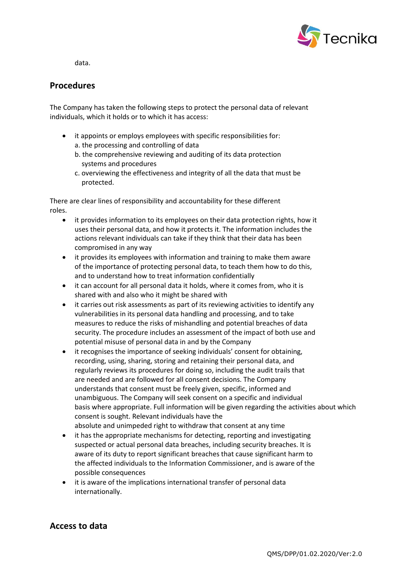

data.

#### **Procedures**

The Company has taken the following steps to protect the personal data of relevant individuals, which it holds or to which it has access:

- it appoints or employs employees with specific responsibilities for:
	- a. the processing and controlling of data
	- b. the comprehensive reviewing and auditing of its data protection systems and procedures
	- c. overviewing the effectiveness and integrity of all the data that must be protected.

There are clear lines of responsibility and accountability for these different roles.

- it provides information to its employees on their data protection rights, how it uses their personal data, and how it protects it. The information includes the actions relevant individuals can take if they think that their data has been compromised in any way
- it provides its employees with information and training to make them aware of the importance of protecting personal data, to teach them how to do this, and to understand how to treat information confidentially
- it can account for all personal data it holds, where it comes from, who it is shared with and also who it might be shared with
- it carries out risk assessments as part of its reviewing activities to identify any vulnerabilities in its personal data handling and processing, and to take measures to reduce the risks of mishandling and potential breaches of data security. The procedure includes an assessment of the impact of both use and potential misuse of personal data in and by the Company
- it recognises the importance of seeking individuals' consent for obtaining, recording, using, sharing, storing and retaining their personal data, and regularly reviews its procedures for doing so, including the audit trails that are needed and are followed for all consent decisions. The Company understands that consent must be freely given, specific, informed and unambiguous. The Company will seek consent on a specific and individual basis where appropriate. Full information will be given regarding the activities about which consent is sought. Relevant individuals have the absolute and unimpeded right to withdraw that consent at any time
- it has the appropriate mechanisms for detecting, reporting and investigating suspected or actual personal data breaches, including security breaches. It is aware of its duty to report significant breaches that cause significant harm to the affected individuals to the Information Commissioner, and is aware of the possible consequences
- it is aware of the implications international transfer of personal data internationally.

#### **Access to data**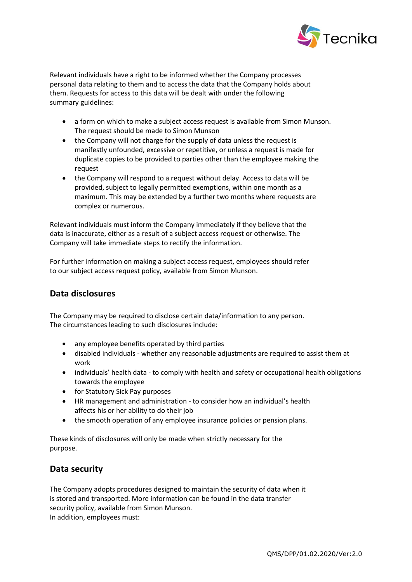

Relevant individuals have a right to be informed whether the Company processes personal data relating to them and to access the data that the Company holds about them. Requests for access to this data will be dealt with under the following summary guidelines:

- a form on which to make a subject access request is available from Simon Munson. The request should be made to Simon Munson
- the Company will not charge for the supply of data unless the request is manifestly unfounded, excessive or repetitive, or unless a request is made for duplicate copies to be provided to parties other than the employee making the request
- the Company will respond to a request without delay. Access to data will be provided, subject to legally permitted exemptions, within one month as a maximum. This may be extended by a further two months where requests are complex or numerous.

Relevant individuals must inform the Company immediately if they believe that the data is inaccurate, either as a result of a subject access request or otherwise. The Company will take immediate steps to rectify the information.

For further information on making a subject access request, employees should refer to our subject access request policy, available from Simon Munson.

## **Data disclosures**

The Company may be required to disclose certain data/information to any person. The circumstances leading to such disclosures include:

- any employee benefits operated by third parties
- disabled individuals whether any reasonable adjustments are required to assist them at work
- individuals' health data to comply with health and safety or occupational health obligations towards the employee
- for Statutory Sick Pay purposes
- HR management and administration to consider how an individual's health affects his or her ability to do their job
- the smooth operation of any employee insurance policies or pension plans.

These kinds of disclosures will only be made when strictly necessary for the purpose.

## **Data security**

The Company adopts procedures designed to maintain the security of data when it is stored and transported. More information can be found in the data transfer security policy, available from Simon Munson. In addition, employees must: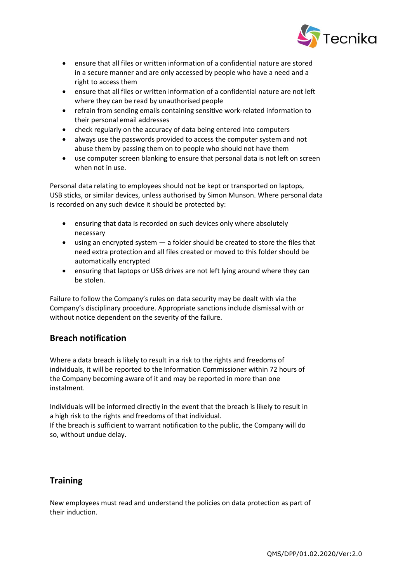

- ensure that all files or written information of a confidential nature are stored in a secure manner and are only accessed by people who have a need and a right to access them
- ensure that all files or written information of a confidential nature are not left where they can be read by unauthorised people
- refrain from sending emails containing sensitive work-related information to their personal email addresses
- check regularly on the accuracy of data being entered into computers
- always use the passwords provided to access the computer system and not abuse them by passing them on to people who should not have them
- use computer screen blanking to ensure that personal data is not left on screen when not in use.

Personal data relating to employees should not be kept or transported on laptops, USB sticks, or similar devices, unless authorised by Simon Munson. Where personal data is recorded on any such device it should be protected by:

- ensuring that data is recorded on such devices only where absolutely necessary
- using an encrypted system a folder should be created to store the files that need extra protection and all files created or moved to this folder should be automatically encrypted
- ensuring that laptops or USB drives are not left lying around where they can be stolen.

Failure to follow the Company's rules on data security may be dealt with via the Company's disciplinary procedure. Appropriate sanctions include dismissal with or without notice dependent on the severity of the failure.

## **Breach notification**

Where a data breach is likely to result in a risk to the rights and freedoms of individuals, it will be reported to the Information Commissioner within 72 hours of the Company becoming aware of it and may be reported in more than one instalment.

Individuals will be informed directly in the event that the breach is likely to result in a high risk to the rights and freedoms of that individual.

If the breach is sufficient to warrant notification to the public, the Company will do so, without undue delay.

## **Training**

New employees must read and understand the policies on data protection as part of their induction.